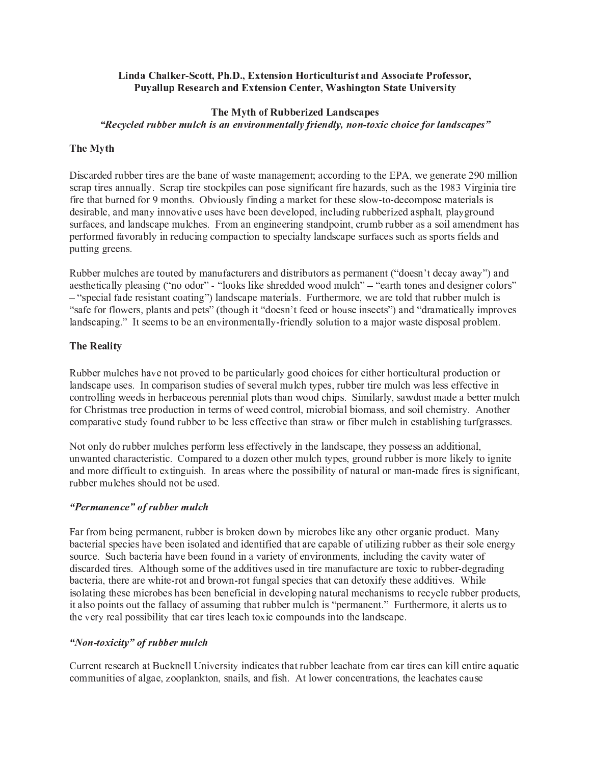### أن المساحة المساحة المساحة المساحة المساحة المساحة المساحة المساحة المساحة المساحة المساحة المساحة المساحة الم - - - - - -  - !

### " # \$ \$ % -

& ' ( ) \* ) <sup>+</sup> ( , - . / / ( - <sup>0</sup> . <sup>+</sup> ) <sup>1</sup> <sup>2</sup> <sup>3</sup> <sup>4</sup> <sup>5</sup> ( <sup>5</sup> <sup>6</sup> <sup>2</sup> - <sup>7</sup> <sup>5</sup> <sup>0</sup> ( <sup>5</sup> <sup>8</sup> <sup>4</sup> <sup>+</sup> <sup>+</sup> \* <sup>9</sup> - <sup>2</sup> ( <sup>5</sup> , <sup>+</sup> \* : <sup>5</sup> <sup>7</sup> <sup>5</sup> ; <sup>8</sup> <sup>7</sup> <sup>&</sup>lt; <sup>2</sup> ) ) <sup>1</sup> <sup>7</sup> <sup>2</sup> ) ( <sup>9</sup> <sup>7</sup> - <sup>+</sup> <sup>4</sup> <sup>5</sup> , <sup>3</sup> ) <sup>4</sup> <sup>=</sup> ( <sup>3</sup> <sup>&</sup>gt;

## The Myth

Discarded rubber tires are the bane of waste management; according to the EPA, we generate 290 million scrap tires annually. Scrap tire stockpiles can pose significant fire hazards, such as the 1983 Virginia tire fire that burned for 9 months. Obviously finding a market for these slow-to-decompose materials is desirable, and many innovative uses have been developed, including rubberized asphalt, playground surfaces, and landscape mulches. From an engineering standpoint, crumb rubber as a soil amendment has performed favorably in reducing compaction to specialty landscape surfaces such as sports fields and putting greens.

Rubber mulches are touted by manufacturers and distributors as permanent ("doesn't decay away") and aesthetically pleasing ("no odor" - "looks like shredded wood mulch" - "earth tones and designer colors" - "special fade resistant coating") landscape materials. Furthermore, we are told that rubber mulch is "safe for flowers, plants and pets" (though it "doesn't feed or house insects") and "dramatically improves landscaping." It seems to be an environmentally-friendly solution to a major waste disposal problem.

## The Reality

Rubber mulches have not proved to be particularly good choices for either horticultural production or landscape uses. In comparison studies of several mulch types, rubber tire mulch was less effective in controlling weeds in herbaceous perennial plots than wood chips. Similarly, sawdust made a better mulch for Christmas tree production in terms of weed control, microbial biomass, and soil chemistry. Another comparative study found rubber to be less effective than straw or fiber mulch in establishing turfgrasses.

Not only do rubber mulches perform less effectively in the landscape, they possess an additional, unwanted characteristic. Compared to a dozen other mulch types, ground rubber is more likely to ignite and more difficult to extinguish. In areas where the possibility of natural or man-made fires is significant, rubber mulches should not be used.

### "Permanence" of rubber mulch

Far from being permanent, rubber is broken down by microbes like any other organic product. Many bacterial species have been isolated and identified that are capable of utilizing rubber as their sole energy source. Such bacteria have been found in a variety of environments, including the cavity water of discarded tires. Although some of the additives used in tire manufacture are toxic to rubber-degrading bacteria, there are white-rot and brown-rot fungal species that can detoxify these additives. While isolating these microbes has been beneficial in developing natural mechanisms to recycle rubber products, it also points out the fallacy of assuming that rubber mulch is "permanent." Furthermore, it alerts us to the very real possibility that car tires leach toxic compounds into the landscape.

### "Non-toxicity" of rubber mulch

Current research at Bucknell University indicates that rubber leachate from car tires can kill entire aquatic communities of algae, zooplankton, snails, and fish. At lower concentrations, the leachates cause